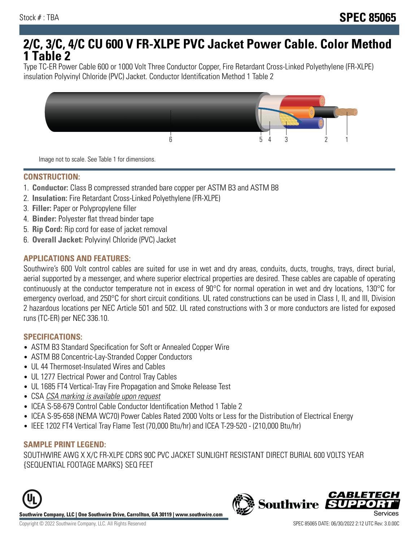# **2/C, 3/C, 4/C CU 600 V FR-XLPE PVC Jacket Power Cable. Color Method 1 Table 2**

Type TC-ER Power Cable 600 or 1000 Volt Three Conductor Copper, Fire Retardant Cross-Linked Polyethylene (FR-XLPE) insulation Polyvinyl Chloride (PVC) Jacket. Conductor Identification Method 1 Table 2



Image not to scale. See Table 1 for dimensions.

#### **CONSTRUCTION:**

- 1. **Conductor:** Class B compressed stranded bare copper per ASTM B3 and ASTM B8
- 2. **Insulation:** Fire Retardant Cross-Linked Polyethylene (FR-XLPE)
- 3. **Filler:** Paper or Polypropylene filler
- 4. **Binder:** Polyester flat thread binder tape
- 5. **Rip Cord:** Rip cord for ease of jacket removal
- 6. **Overall Jacket:** Polyvinyl Chloride (PVC) Jacket

## **APPLICATIONS AND FEATURES:**

Southwire's 600 Volt control cables are suited for use in wet and dry areas, conduits, ducts, troughs, trays, direct burial, aerial supported by a messenger, and where superior electrical properties are desired. These cables are capable of operating continuously at the conductor temperature not in excess of 90°C for normal operation in wet and dry locations, 130°C for emergency overload, and 250°C for short circuit conditions. UL rated constructions can be used in Class I, II, and III, Division 2 hazardous locations per NEC Article 501 and 502. UL rated constructions with 3 or more conductors are listed for exposed runs (TC-ER) per NEC 336.10.

#### **SPECIFICATIONS:**

- ASTM B3 Standard Specification for Soft or Annealed Copper Wire
- ASTM B8 Concentric-Lay-Stranded Copper Conductors
- UL 44 Thermoset-Insulated Wires and Cables
- UL 1277 Electrical Power and Control Tray Cables
- UL 1685 FT4 Vertical-Tray Fire Propagation and Smoke Release Test
- CSA CSA marking is available upon request
- ICEA S-58-679 Control Cable Conductor Identification Method 1 Table 2
- ICEA S-95-658 (NEMA WC70) Power Cables Rated 2000 Volts or Less for the Distribution of Electrical Energy
- IEEE 1202 FT4 Vertical Tray Flame Test (70,000 Btu/hr) and ICEA T-29-520 (210,000 Btu/hr)

#### **SAMPLE PRINT LEGEND:**

SOUTHWIRE AWG X X/C FR-XLPE CDRS 90C PVC JACKET SUNLIGHT RESISTANT DIRECT BURIAL 600 VOLTS YEAR {SEQUENTIAL FOOTAGE MARKS} SEQ FEET